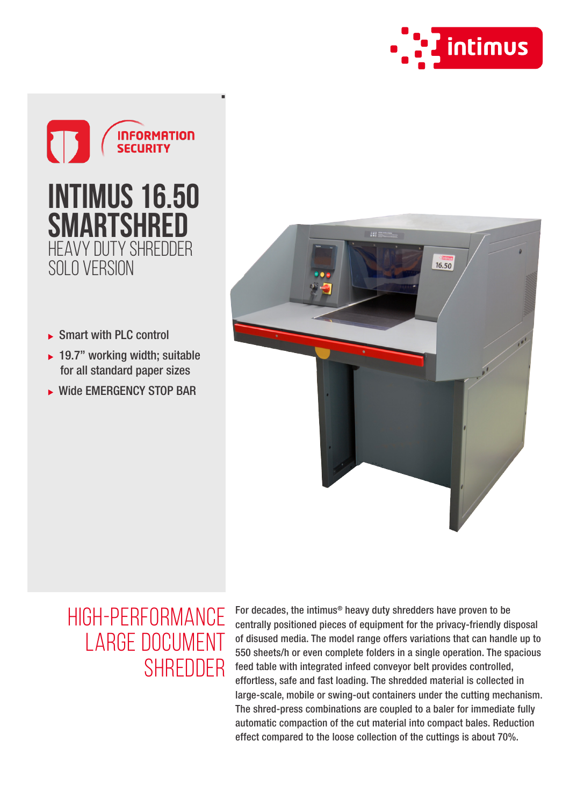



- ▶ Smart with PLC control
- $\rightarrow$  19.7" working width; suitable for all standard paper sizes
- ▶ Wide EMERGENCY STOP BAR



## High-performance large document **SHREDDER**

For decades, the intimus® heavy duty shredders have proven to be centrally positioned pieces of equipment for the privacy-friendly disposal of disused media. The model range offers variations that can handle up to 550 sheets/h or even complete folders in a single operation. The spacious feed table with integrated infeed conveyor belt provides controlled, effortless, safe and fast loading. The shredded material is collected in large-scale, mobile or swing-out containers under the cutting mechanism. The shred-press combinations are coupled to a baler for immediate fully automatic compaction of the cut material into compact bales. Reduction effect compared to the loose collection of the cuttings is about 70%.